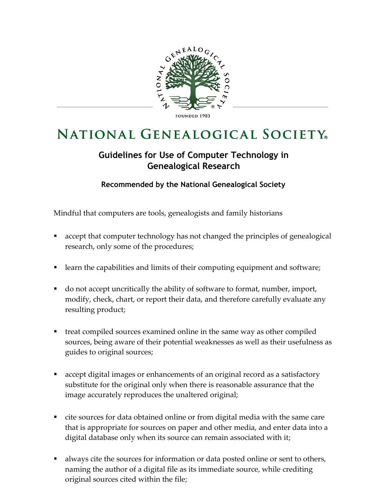

## **NATIONAL GENEALOGICAL SOCIETY**

## **Guidelines for Use of Computer Technology in Genealogical Research**

**Recommended by the National Genealogical Society**

Mindful that computers are tools, genealogists and family historians

- accept that computer technology has not changed the principles of genealogical research, only some of the procedures;
- learn the capabilities and limits of their computing equipment and software;
- do not accept uncritically the ability of software to format, number, import, modify, check, chart, or report their data, and therefore carefully evaluate any resulting product;
- treat compiled sources examined online in the same way as other compiled sources, being aware of their potential weaknesses as well as their usefulness as guides to original sources;
- accept digital images or enhancements of an original record as a satisfactory substitute for the original only when there is reasonable assurance that the image accurately reproduces the unaltered original;
- cite sources for data obtained online or from digital media with the same care that is appropriate for sources on paper and other media, and enter data into a digital database only when its source can remain associated with it;
- always cite the sources for information or data posted online or sent to others, naming the author of a digital file as its immediate source, while crediting original sources cited within the file;